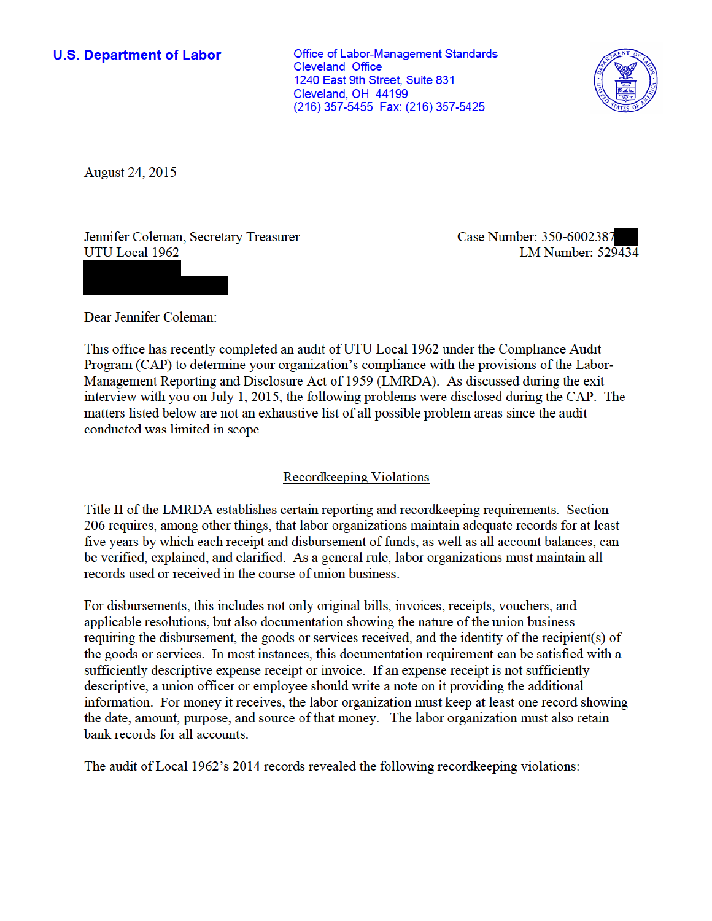**U.S. Department of Labor** 

**Office of Labor-Management Standards Cleveland Office** 1240 East 9th Street. Suite 831 Cleveland, OH 44199 (216) 357-5455 Fax: (216) 357-5425



**August 24, 2015** 

Jennifer Coleman, Secretary Treasurer UTU Local 1962

Case Number: 350-6002387 **LM Number: 529434** 

Dear Jennifer Coleman:

This office has recently completed an audit of UTU Local 1962 under the Compliance Audit Program (CAP) to determine your organization's compliance with the provisions of the Labor-Management Reporting and Disclosure Act of 1959 (LMRDA). As discussed during the exit interview with you on July 1, 2015, the following problems were disclosed during the CAP. The matters listed below are not an exhaustive list of all possible problem areas since the audit conducted was limited in scope.

## **Recordkeeping Violations**

Title II of the LMRDA establishes certain reporting and record keeping requirements. Section 206 requires, among other things, that labor organizations maintain adequate records for at least five years by which each receipt and disbursement of funds, as well as all account balances, can be verified, explained, and clarified. As a general rule, labor organizations must maintain all records used or received in the course of union business.

For disbursements, this includes not only original bills, invoices, receipts, vouchers, and applicable resolutions, but also documentation showing the nature of the union business requiring the disbursement, the goods or services received, and the identity of the recipient(s) of the goods or services. In most instances, this documentation requirement can be satisfied with a sufficiently descriptive expense receipt or invoice. If an expense receipt is not sufficiently descriptive, a union officer or employee should write a note on it providing the additional information. For money it receives, the labor organization must keep at least one record showing the date, amount, purpose, and source of that money. The labor organization must also retain bank records for all accounts.

The audit of Local 1962's 2014 records revealed the following record keeping violations: